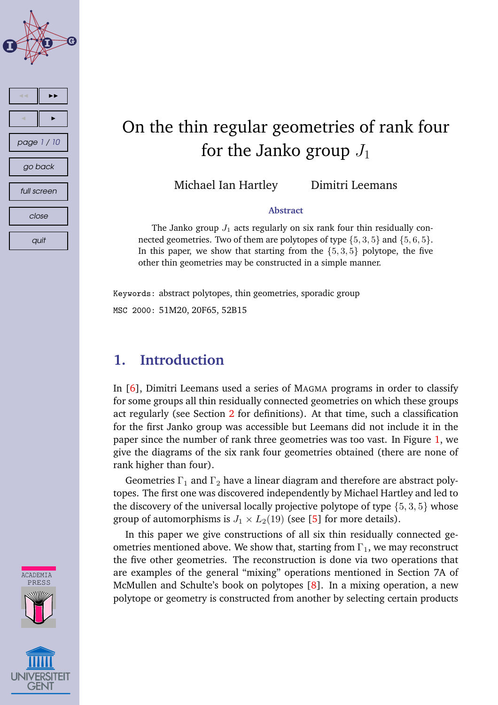

# On the thin regular geometries of rank four for the Janko group  $J_1$

Michael Ian Hartley Dimitri Leemans

#### **Abstract**

The Janko group  $J_1$  acts regularly on six rank four thin residually connected geometries. Two of them are polytopes of type  $\{5, 3, 5\}$  and  $\{5, 6, 5\}$ . In this paper, we show that starting from the  $\{5, 3, 5\}$  polytope, the five other thin geometries may be constructed in a simple manner.

Keywords: abstract polytopes, thin geometries, sporadic group MSC 2000: 51M20, 20F65, 52B15

# **1. Introduction**

In [\[6\]](#page-7-0), Dimitri Leemans used a series of MAGMA programs in order to classify for some groups all thin residually connected geometries on which these groups act regularly (see Section [2](#page-1-0) for definitions). At that time, such a classification for the first Janko group was accessible but Leemans did not include it in the paper since the number of rank three geometries was too vast. In Figure [1,](#page-8-0) we give the diagrams of the six rank four geometries obtained (there are none of rank higher than four).

Geometries  $\Gamma_1$  and  $\Gamma_2$  have a linear diagram and therefore are abstract polytopes. The first one was discovered independently by Michael Hartley and led to the discovery of the universal locally projective polytope of type  $\{5, 3, 5\}$  whose group of automorphisms is  $J_1 \times L_2(19)$  (see [\[5\]](#page-7-0) for more details).

In this paper we give constructions of all six thin residually connected geometries mentioned above. We show that, starting from  $\Gamma_1$ , we may reconstruct the five other geometries. The reconstruction is done via two operations that are examples of the general "mixing" operations mentioned in Section 7A of McMullen and Schulte's book on polytopes [\[8\]](#page-7-0). In a mixing operation, a new polytope or geometry is constructed from another by selecting certain products



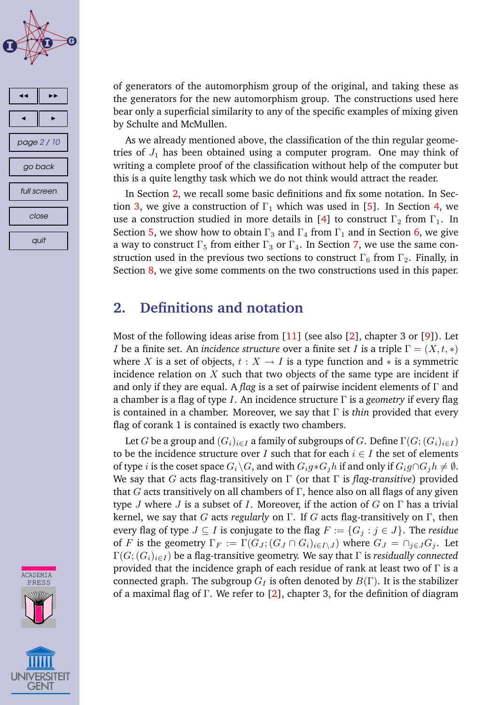<span id="page-1-0"></span>



of generators of the automorphism group of the original, and taking these as the generators for the new automorphism group. The constructions used here bear only a superficial similarity to any of the specific examples of mixing given by Schulte and McMullen.

As we already mentioned above, the classification of the thin regular geometries of  $J_1$  has been obtained using a computer program. One may think of writing a complete proof of the classification without help of the computer but this is a quite lengthy task which we do not think would attract the reader.

In Section 2, we recall some basic definitions and fix some notation. In Sec-tion [3,](#page-2-0) we give a construction of  $\Gamma_1$  which was used in [\[5\]](#page-7-0). In Section [4,](#page-2-0) we use a construction studied in more details in [\[4\]](#page-7-0) to construct  $\Gamma_2$  from  $\Gamma_1$ . In Section [5,](#page-3-0) we show how to obtain  $\Gamma_3$  and  $\Gamma_4$  from  $\Gamma_1$  and in Section [6,](#page-4-0) we give a way to construct  $\Gamma_5$  from either  $\Gamma_3$  or  $\Gamma_4$ . In Section [7,](#page-5-0) we use the same construction used in the previous two sections to construct  $\Gamma_6$  from  $\Gamma_2$ . Finally, in Section [8,](#page-6-0) we give some comments on the two constructions used in this paper.

# **2. Definitions and notation**

Most of the following ideas arise from [\[11\]](#page-7-0) (see also [\[2\]](#page-6-0), chapter 3 or [\[9\]](#page-7-0)). Let *I* be a finite set. An *incidence structure* over a finite set *I* is a triple  $\Gamma = (X, t, *)$ where X is a set of objects,  $t : X \to I$  is a type function and  $*$  is a symmetric incidence relation on  $X$  such that two objects of the same type are incident if and only if they are equal. A *flag* is a set of pairwise incident elements of Γ and a chamber is a flag of type I. An incidence structure Γ is a *geometry* if every flag is contained in a chamber. Moreover, we say that Γ is *thin* provided that every flag of corank 1 is contained is exactly two chambers.

Let G be a group and  $(G_i)_{i\in I}$  a family of subgroups of G. Define  $\Gamma(G; (G_i)_{i\in I})$ to be the incidence structure over I such that for each  $i \in I$  the set of elements of type *i* is the coset space  $G_i\backslash G$ , and with  $G_ig * G_jh$  if and only if  $G_ig \cap G_jh \neq \emptyset$ . We say that G acts flag-transitively on Γ (or that Γ is *flag-transitive*) provided that G acts transitively on all chambers of  $\Gamma$ , hence also on all flags of any given type J where J is a subset of I. Moreover, if the action of G on  $\Gamma$  has a trivial kernel, we say that G acts *regularly* on Γ. If G acts flag-transitively on Γ, then every flag of type  $J \subseteq I$  is conjugate to the flag  $F := \{G_j : j \in J\}$ . The *residue* of F is the geometry  $\Gamma_F := \Gamma(G_J; (G_J \cap G_i)_{i \in I \setminus J})$  where  $G_J = \cap_{i \in J} G_i$ . Let  $\Gamma(G; (G_i)_{i \in I})$  be a flag-transitive geometry. We say that  $\Gamma$  is *residually connected* provided that the incidence graph of each residue of rank at least two of  $\Gamma$  is a connected graph. The subgroup  $G_I$  is often denoted by  $B(\Gamma)$ . It is the stabilizer of a maximal flag of Γ. We refer to [\[2\]](#page-6-0), chapter 3, for the definition of diagram

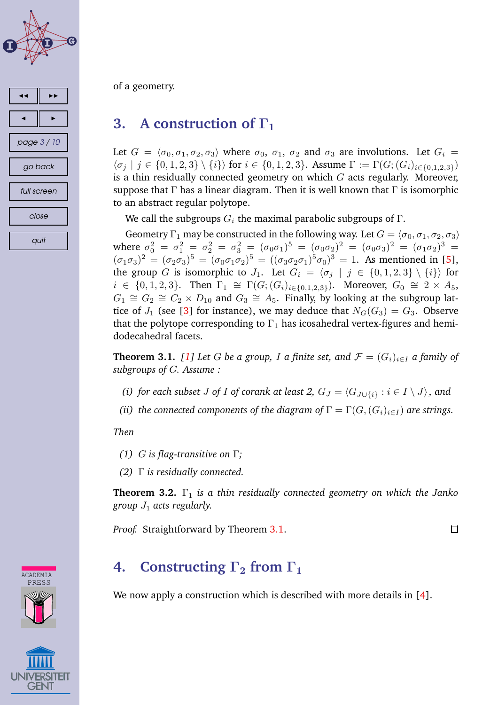<span id="page-2-0"></span>



of a geometry.

# **3. A construction of**  $\Gamma_1$

Let  $G = \langle \sigma_0, \sigma_1, \sigma_2, \sigma_3 \rangle$  where  $\sigma_0$ ,  $\sigma_1$ ,  $\sigma_2$  and  $\sigma_3$  are involutions. Let  $G_i$  $\{\sigma_i \mid j \in \{0, 1, 2, 3\} \setminus \{i\}\}\$  for  $i \in \{0, 1, 2, 3\}$ . Assume  $\Gamma := \Gamma(G; (G_i)_{i \in \{0, 1, 2, 3\}})$ is a thin residually connected geometry on which  $G$  acts regularly. Moreover, suppose that  $\Gamma$  has a linear diagram. Then it is well known that  $\Gamma$  is isomorphic to an abstract regular polytope.

We call the subgroups  $G_i$  the maximal parabolic subgroups of  $\Gamma$ .

Geometry  $\Gamma_1$  may be constructed in the following way. Let  $G = \langle \sigma_0, \sigma_1, \sigma_2, \sigma_3 \rangle$ where  $\sigma_0^2 = \sigma_1^2 = \sigma_2^2 = \sigma_3^2 = (\sigma_0 \sigma_1)^5 = (\sigma_0 \sigma_2)^2 = (\sigma_0 \sigma_3)^2 = (\sigma_1 \sigma_2)^3 =$  $(\sigma_1 \sigma_3)^2 = (\sigma_2 \sigma_3)^5 = (\sigma_0 \sigma_1 \sigma_2)^5 = ((\sigma_3 \sigma_2 \sigma_1)^5 \sigma_0)^3 = 1$ . As mentioned in [\[5\]](#page-7-0), the group G is isomorphic to  $J_1$ . Let  $G_i = \langle \sigma_i | j \in \{0, 1, 2, 3\} \setminus \{i\} \rangle$  for  $i \in \{0, 1, 2, 3\}$ . Then  $\Gamma_1 \cong \Gamma(G; (G_i)_{i \in \{0, 1, 2, 3\}})$ . Moreover,  $G_0 \cong 2 \times A_5$ ,  $G_1 \cong G_2 \cong C_2 \times D_{10}$  and  $G_3 \cong A_5$ . Finally, by looking at the subgroup lattice of  $J_1$  (see [\[3\]](#page-7-0) for instance), we may deduce that  $N_G(G_3) = G_3$ . Observe that the polytope corresponding to  $\Gamma_1$  has icosahedral vertex-figures and hemidodecahedral facets.

**Theorem 3.1.** [\[1\]](#page-6-0) Let G be a group, I a finite set, and  $\mathcal{F} = (G_i)_{i \in I}$  a family of *subgroups of* G*. Assume :*

- *(i) for each subset J of I of corank at least* 2,  $G_J = \langle G_{J \cup \{i\}} : i \in I \setminus J \rangle$ , and
- *(ii) the connected components of the diagram of*  $\Gamma = \Gamma(G, (G_i)_{i \in I})$  *are strings.*

*Then*

- *(1)* G *is flag-transitive on* Γ*;*
- *(2)* Γ *is residually connected.*

**Theorem 3.2.** Γ<sup>1</sup> *is a thin residually connected geometry on which the Janko group* J<sup>1</sup> *acts regularly.*

*Proof.* Straightforward by Theorem 3.1.

 $\Box$ 

# **4. Constructing**  $\Gamma_2$  **from**  $\Gamma_1$

We now apply a construction which is described with more details in [\[4\]](#page-7-0).



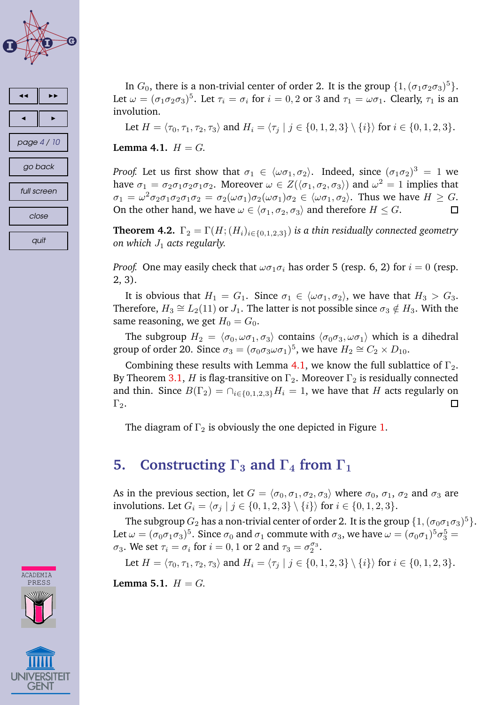<span id="page-3-0"></span>



In  $G_0$ , there is a non-trivial center of order 2. It is the group  $\{1,(\sigma_1\sigma_2\sigma_3)^5\}$ . Let  $\omega = (\sigma_1 \sigma_2 \sigma_3)^5$ . Let  $\tau_i = \sigma_i$  for  $i = 0, 2$  or 3 and  $\tau_1 = \omega \sigma_1$ . Clearly,  $\tau_1$  is an involution.

Let  $H = \langle \tau_0, \tau_1, \tau_2, \tau_3 \rangle$  and  $H_i = \langle \tau_i | j \in \{0, 1, 2, 3\} \setminus \{i\} \rangle$  for  $i \in \{0, 1, 2, 3\}.$ 

**Lemma** 4.1.  $H = G$ .

*Proof.* Let us first show that  $\sigma_1 \in \langle \omega \sigma_1, \sigma_2 \rangle$ . Indeed, since  $(\sigma_1 \sigma_2)^3 = 1$  we have  $\sigma_1 = \sigma_2 \sigma_1 \sigma_2 \sigma_1 \sigma_2$ . Moreover  $\omega \in Z(\langle \sigma_1, \sigma_2, \sigma_3 \rangle)$  and  $\omega^2 = 1$  implies that  $\sigma_1 = \omega^2 \sigma_2 \sigma_1 \sigma_2 \sigma_1 \sigma_2 = \sigma_2(\omega \sigma_1) \sigma_2(\omega \sigma_1) \sigma_2 \in \langle \omega \sigma_1, \sigma_2 \rangle$ . Thus we have  $H \geq G$ . On the other hand, we have  $\omega \in \langle \sigma_1, \sigma_2, \sigma_3 \rangle$  and therefore  $H \leq G$ .

**Theorem 4.2.**  $\Gamma_2 = \Gamma(H; (H_i)_{i \in \{0,1,2,3\}})$  *is a thin residually connected geometry on which*  $J_1$  *acts regularly.* 

*Proof.* One may easily check that  $\omega \sigma_1 \sigma_i$  has order 5 (resp. 6, 2) for  $i = 0$  (resp. 2, 3).

It is obvious that  $H_1 = G_1$ . Since  $\sigma_1 \in \langle \omega \sigma_1, \sigma_2 \rangle$ , we have that  $H_3 > G_3$ . Therefore,  $H_3 \cong L_2(11)$  or  $J_1$ . The latter is not possible since  $\sigma_3 \notin H_3$ . With the same reasoning, we get  $H_0 = G_0$ .

The subgroup  $H_2 = \langle \sigma_0, \omega \sigma_1, \sigma_3 \rangle$  contains  $\langle \sigma_0 \sigma_3, \omega \sigma_1 \rangle$  which is a dihedral group of order 20. Since  $\sigma_3 = (\sigma_0 \sigma_3 \omega \sigma_1)^5$ , we have  $H_2 \cong C_2 \times D_{10}$ .

Combining these results with Lemma 4.1, we know the full sublattice of  $\Gamma_2$ . By Theorem [3.1,](#page-2-0) H is flag-transitive on  $\Gamma_2$ . Moreover  $\Gamma_2$  is residually connected and thin. Since  $B(\Gamma_2) = \bigcap_{i \in \{0,1,2,3\}} H_i = 1$ , we have that H acts regularly on  $\Gamma_2$ . 口

The diagram of  $\Gamma_2$  is obviously the one depicted in Figure [1.](#page-8-0)

### **5. Constructing**  $\Gamma_3$  **and**  $\Gamma_4$  **from**  $\Gamma_1$

As in the previous section, let  $G = \langle \sigma_0, \sigma_1, \sigma_2, \sigma_3 \rangle$  where  $\sigma_0$ ,  $\sigma_1$ ,  $\sigma_2$  and  $\sigma_3$  are involutions. Let  $G_i = \{\sigma_j \mid j \in \{0, 1, 2, 3\} \setminus \{i\} \}$  for  $i \in \{0, 1, 2, 3\}$ .

The subgroup  $G_2$  has a non-trivial center of order 2. It is the group  $\{1,(\sigma_0\sigma_1\sigma_3)^5\}.$ Let  $\omega=(\sigma_0\sigma_1\sigma_3)^5.$  Since  $\sigma_0$  and  $\sigma_1$  commute with  $\sigma_3,$  we have  $\omega=(\sigma_0\sigma_1)^5\sigma_3^5=$  $\sigma_3$ . We set  $\tau_i = \sigma_i$  for  $i = 0, 1$  or 2 and  $\tau_3 = \sigma_2^{\sigma_3}$ .

Let  $H = \langle \tau_0, \tau_1, \tau_2, \tau_3 \rangle$  and  $H_i = \langle \tau_i | j \in \{0, 1, 2, 3\} \setminus \{i\} \rangle$  for  $i \in \{0, 1, 2, 3\}.$ 

**Lemma 5.1.**  $H = G$ .



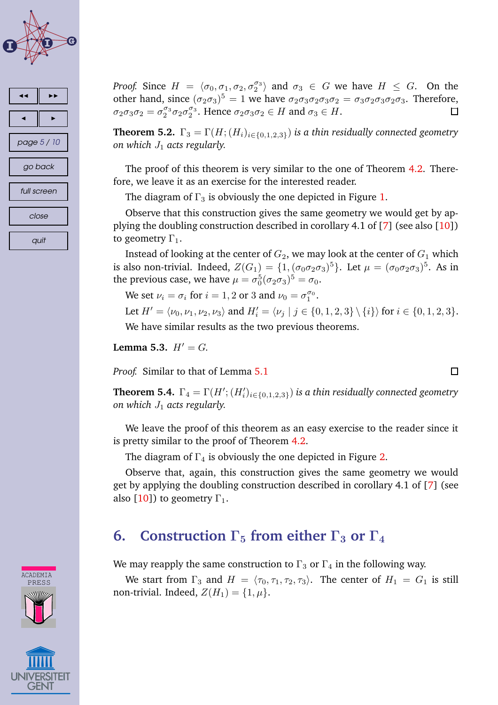<span id="page-4-0"></span>



**CADEMIA** PRESS

*Proof.* Since  $H = \langle \sigma_0, \sigma_1, \sigma_2, \sigma_2^{\sigma_3} \rangle$  and  $\sigma_3 \in G$  we have  $H \leq G$ . On the other hand, since  $(\sigma_2 \sigma_3)^5 = 1$  we have  $\sigma_2 \sigma_3 \sigma_2 \sigma_3 \sigma_2 = \sigma_3 \sigma_2 \sigma_3 \sigma_2 \sigma_3$ . Therefore,  $\sigma_2 \sigma_3 \sigma_2 = \sigma_2^{\sigma_3} \sigma_2 \sigma_2^{\sigma_3}$ . Hence  $\sigma_2 \sigma_3 \sigma_2 \in H$  and  $\sigma_3 \in H$ .  $\Box$ 

**Theorem 5.2.**  $\Gamma_3 = \Gamma(H; (H_i)_{i \in \{0,1,2,3\}})$  *is a thin residually connected geometry on which*  $J_1$  *acts regularly.* 

The proof of this theorem is very similar to the one of Theorem [4.2.](#page-3-0) Therefore, we leave it as an exercise for the interested reader.

The diagram of  $\Gamma_3$  is obviously the one depicted in Figure [1.](#page-8-0)

Observe that this construction gives the same geometry we would get by applying the doubling construction described in corollary 4.1 of [\[7\]](#page-7-0) (see also [\[10\]](#page-7-0)) to geometry  $\Gamma_1$ .

Instead of looking at the center of  $G_2$ , we may look at the center of  $G_1$  which is also non-trivial. Indeed,  $Z(G_1)=\{1, (\sigma_0\sigma_2\sigma_3)^5\}$ . Let  $\mu=(\sigma_0\sigma_2\sigma_3)^5$ . As in the previous case, we have  $\mu = \sigma_0^5 (\sigma_2 \sigma_3)^5 = \sigma_0$ .

We set  $\nu_i = \sigma_i$  for  $i = 1, 2$  or 3 and  $\nu_0 = \sigma_1^{\sigma_0}$ .

Let  $H' = \langle \nu_0, \nu_1, \nu_2, \nu_3 \rangle$  and  $H'_i = \langle \nu_j | j \in \{0, 1, 2, 3\} \setminus \{i\} \rangle$  for  $i \in \{0, 1, 2, 3\}$ . We have similar results as the two previous theorems.

**Lemma 5.3.**  $H' = G$ .

*Proof.* Similar to that of Lemma [5.1](#page-3-0)

**Theorem 5.4.**  $\Gamma_4 = \Gamma(H'; (H'_i)_{i \in \{0,1,2,3\}})$  is a thin residually connected geometry *on which*  $J_1$  *acts regularly.* 

We leave the proof of this theorem as an easy exercise to the reader since it is pretty similar to the proof of Theorem [4.2.](#page-3-0)

The diagram of  $\Gamma_4$  is obviously the one depicted in Figure [2.](#page-9-0)

Observe that, again, this construction gives the same geometry we would get by applying the doubling construction described in corollary 4.1 of [\[7\]](#page-7-0) (see also [\[10\]](#page-7-0)) to geometry  $\Gamma_1$ .

# **6. Construction**  $\Gamma_5$  **from** either  $\Gamma_3$  or  $\Gamma_4$

We may reapply the same construction to  $\Gamma_3$  or  $\Gamma_4$  in the following way.

We start from  $\Gamma_3$  and  $H = \langle \tau_0, \tau_1, \tau_2, \tau_3 \rangle$ . The center of  $H_1 = G_1$  is still non-trivial. Indeed,  $Z(H_1) = \{1, \mu\}.$ 



 $\Box$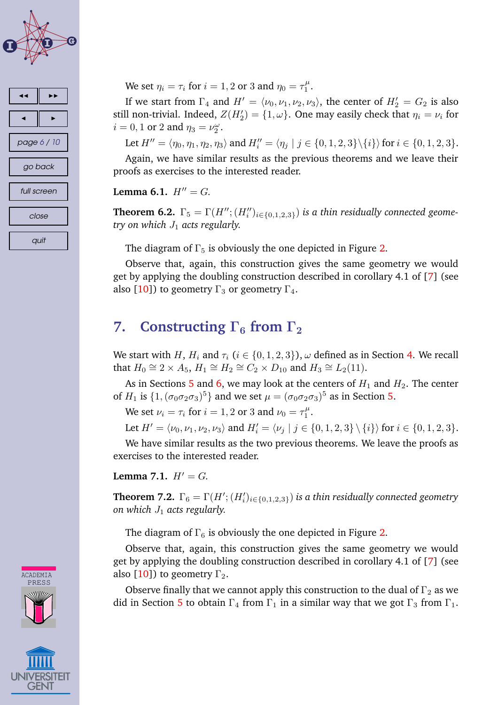<span id="page-5-0"></span>



We set  $\eta_i = \tau_i$  for  $i = 1, 2$  or 3 and  $\eta_0 = \tau_1^\mu$  $\frac{\mu}{1}$ .

If we start from  $\Gamma_4$  and  $H' = \langle \nu_0, \nu_1, \nu_2, \nu_3 \rangle$ , the center of  $H'_2 = G_2$  is also still non-trivial. Indeed,  $Z(H'_2) = \{1, \omega\}$ . One may easily check that  $\eta_i = \nu_i$  for  $i = 0, 1$  or 2 and  $\eta_3 = \nu_2^{\omega}$ .

Let  $H'' = \langle \eta_0, \eta_1, \eta_2, \eta_3 \rangle$  and  $H''_i = \langle \eta_j | j \in \{0, 1, 2, 3\} \setminus \{i\} \rangle$  for  $i \in \{0, 1, 2, 3\}$ .

Again, we have similar results as the previous theorems and we leave their proofs as exercises to the interested reader.

#### **Lemma** 6.1.  $H'' = G$ .

**Theorem 6.2.**  $\Gamma_5 = \Gamma(H''; (H''_i)_{i \in \{0,1,2,3\}})$  *is a thin residually connected geometry on which*  $J_1$  *acts regularly.* 

The diagram of  $\Gamma_5$  is obviously the one depicted in Figure [2.](#page-9-0)

Observe that, again, this construction gives the same geometry we would get by applying the doubling construction described in corollary 4.1 of [\[7\]](#page-7-0) (see also [\[10\]](#page-7-0)) to geometry  $\Gamma_3$  or geometry  $\Gamma_4$ .

# **7. Constructing**  $\Gamma_6$  **from**  $\Gamma_2$

We start with H,  $H_i$  and  $\tau_i$  ( $i \in \{0, 1, 2, 3\}$ ),  $\omega$  defined as in Section [4.](#page-2-0) We recall that  $H_0 \cong 2 \times A_5$ ,  $H_1 \cong H_2 \cong C_2 \times D_{10}$  and  $H_3 \cong L_2(11)$ .

As in Sections [5](#page-3-0) and [6,](#page-4-0) we may look at the centers of  $H_1$  and  $H_2$ . The center of  $H_1$  is  $\{1,(\sigma_0\sigma_2\sigma_3)^5\}$  and we set  $\mu=(\sigma_0\sigma_2\sigma_3)^5$  as in Section [5.](#page-3-0)

We set  $\nu_i = \tau_i$  for  $i = 1, 2$  or 3 and  $\nu_0 = \tau_1^{\mu}$  $\frac{\mu}{1}$ .

Let  $H' = \langle \nu_0, \nu_1, \nu_2, \nu_3 \rangle$  and  $H'_i = \langle \nu_j | j \in \{0, 1, 2, 3\} \setminus \{i\} \rangle$  for  $i \in \{0, 1, 2, 3\}$ .

We have similar results as the two previous theorems. We leave the proofs as exercises to the interested reader.

**Lemma** 7.1.  $H' = G$ .

**Theorem 7.2.**  $\Gamma_6 = \Gamma(H'; (H'_i)_{i \in \{0,1,2,3\}})$  is a thin residually connected geometry *on which*  $J_1$  *acts regularly.* 

The diagram of  $\Gamma_6$  is obviously the one depicted in Figure [2.](#page-9-0)

Observe that, again, this construction gives the same geometry we would get by applying the doubling construction described in corollary 4.1 of [\[7\]](#page-7-0) (see also [\[10\]](#page-7-0)) to geometry  $\Gamma_2$ .

Observe finally that we cannot apply this construction to the dual of  $\Gamma_2$  as we did in Section [5](#page-3-0) to obtain  $\Gamma_4$  from  $\Gamma_1$  in a similar way that we got  $\Gamma_3$  from  $\Gamma_1$ .



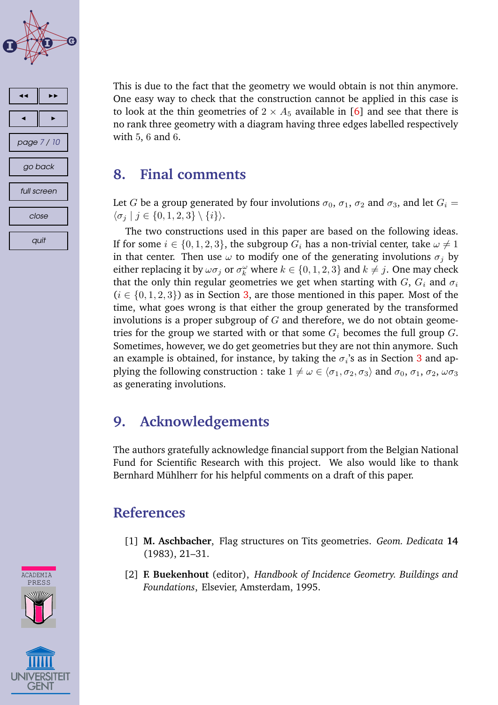<span id="page-6-0"></span>



This is due to the fact that the geometry we would obtain is not thin anymore. One easy way to check that the construction cannot be applied in this case is to look at the thin geometries of  $2 \times A_5$  available in [\[6\]](#page-7-0) and see that there is no rank three geometry with a diagram having three edges labelled respectively with 5, 6 and 6.

### **8. Final comments**

Let G be a group generated by four involutions  $\sigma_0$ ,  $\sigma_1$ ,  $\sigma_2$  and  $\sigma_3$ , and let  $G_i$  =  $\langle \sigma_j | j \in \{0, 1, 2, 3\} \setminus \{i\} \rangle.$ 

The two constructions used in this paper are based on the following ideas. If for some  $i \in \{0, 1, 2, 3\}$ , the subgroup  $G_i$  has a non-trivial center, take  $\omega \neq 1$ in that center. Then use  $\omega$  to modify one of the generating involutions  $\sigma_i$  by either replacing it by  $\omega \sigma_j$  or  $\sigma_k^{\omega}$  where  $k \in \{0, 1, 2, 3\}$  and  $k \neq j$ . One may check that the only thin regular geometries we get when starting with  $G, G_i$  and  $\sigma_i$  $(i \in \{0, 1, 2, 3\})$  as in Section [3,](#page-2-0) are those mentioned in this paper. Most of the time, what goes wrong is that either the group generated by the transformed involutions is a proper subgroup of  $G$  and therefore, we do not obtain geometries for the group we started with or that some  $G_i$  becomes the full group  $G$ . Sometimes, however, we do get geometries but they are not thin anymore. Such an example is obtained, for instance, by taking the  $\sigma_i$ 's as in Section [3](#page-2-0) and applying the following construction : take  $1 \neq \omega \in \langle \sigma_1, \sigma_2, \sigma_3 \rangle$  and  $\sigma_0, \sigma_1, \sigma_2, \omega \sigma_3$ as generating involutions.

# **9. Acknowledgements**

The authors gratefully acknowledge financial support from the Belgian National Fund for Scientific Research with this project. We also would like to thank Bernhard Mühlherr for his helpful comments on a draft of this paper.

# **References**

- [1] **M. Aschbacher**, Flag structures on Tits geometries. *Geom. Dedicata* **14** (1983), 21–31.
- [2] **F. Buekenhout** (editor), *Handbook of Incidence Geometry. Buildings and Foundations*, Elsevier, Amsterdam, 1995.



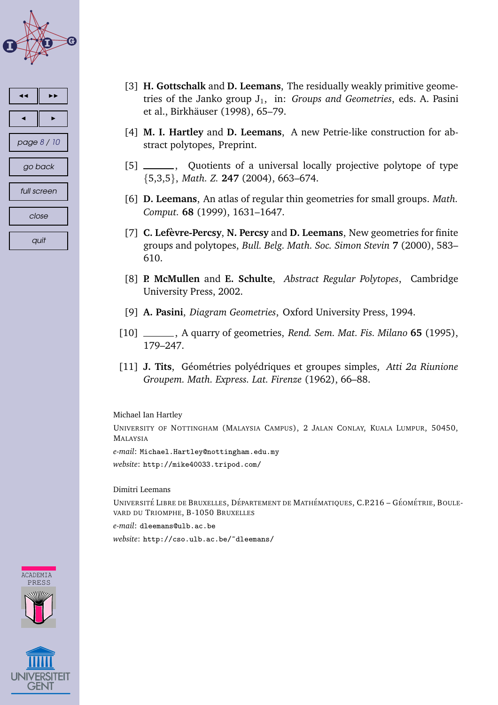<span id="page-7-0"></span>

| ≺           |
|-------------|
|             |
| page 8 / 10 |
| go back     |
| full screen |
| close       |
| quit        |

- [3] **H. Gottschalk** and **D. Leemans**, The residually weakly primitive geometries of the Janko group  $J_1$ , in: *Groups and Geometries*, eds. A. Pasini et al., Birkhäuser (1998), 65-79.
- [4] **M. I. Hartley** and **D. Leemans**, A new Petrie-like construction for abstract polytopes, Preprint.
- [5] \_\_\_\_\_\_, Quotients of a universal locally projective polytope of type {5,3,5}, *Math. Z.* **247** (2004), 663–674.
- [6] **D. Leemans**, An atlas of regular thin geometries for small groups. *Math. Comput.* **68** (1999), 1631–1647.
- [7] **C. Lefevre-P ` ercsy**, **N. Percsy** and **D. Leemans**, New geometries for finite groups and polytopes, *Bull. Belg. Math. Soc. Simon Stevin* **7** (2000), 583– 610.
- [8] **P. McMullen** and **E. Schulte**, *Abstract Regular Polytopes*, Cambridge University Press, 2002.
- [9] **A. Pasini**, *Diagram Geometries*, Oxford University Press, 1994.
- [10] , A quarry of geometries, *Rend. Sem. Mat. Fis. Milano* **65** (1995), 179–247.
- [11] **J. Tits**, G´eom´etries poly´edriques et groupes simples, *Atti 2a Riunione Groupem. Math. Express. Lat. Firenze* (1962), 66–88.

Michael Ian Hartley

UNIVERSITY OF NOTTINGHAM (MALAYSIA CAMPUS), 2 JALAN CONLAY, KUALA LUMPUR, 50450, MALAYSIA

*e-mail*: Michael.Hartley@nottingham.edu.my *website*: http://mike40033.tripod.com/

Dimitri Leemans

UNIVERSITÉ LIBRE DE BRUXELLES, DÉPARTEMENT DE MATHÉMATIQUES, C.P.216 – GÉOMÉTRIE, BOULE-VARD DU TRIOMPHE, B-1050 BRUXELLES

*e-mail*: dleemans@ulb.ac.be

*website*: http://cso.ulb.ac.be/~dleemans/



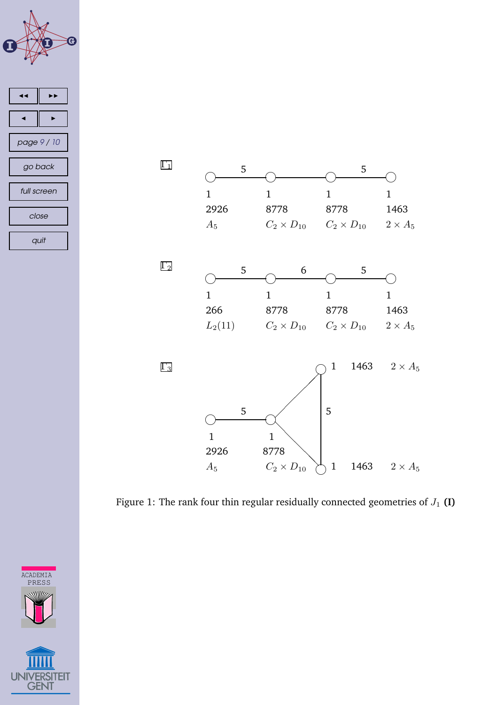<span id="page-8-0"></span>